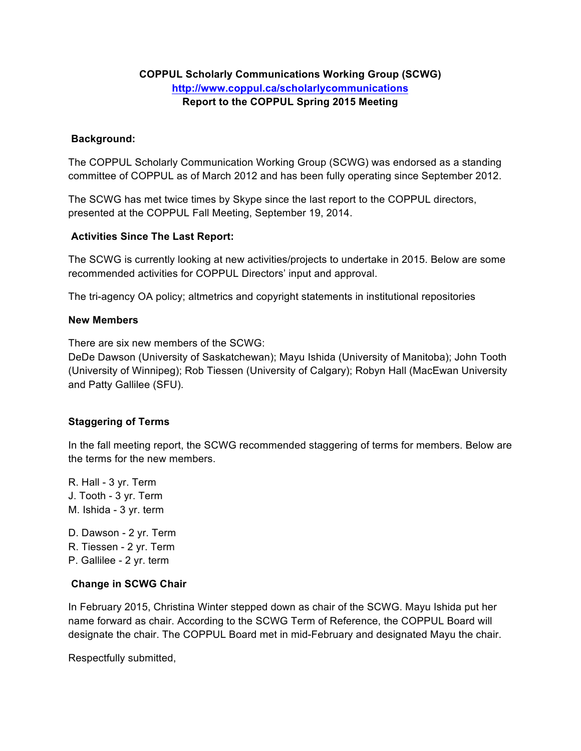# **COPPUL Scholarly Communications Working Group (SCWG) http://www.coppul.ca/scholarlycommunications Report to the COPPUL Spring 2015 Meeting**

## **Background:**

The COPPUL Scholarly Communication Working Group (SCWG) was endorsed as a standing committee of COPPUL as of March 2012 and has been fully operating since September 2012.

The SCWG has met twice times by Skype since the last report to the COPPUL directors, presented at the COPPUL Fall Meeting, September 19, 2014.

## **Activities Since The Last Report:**

The SCWG is currently looking at new activities/projects to undertake in 2015. Below are some recommended activities for COPPUL Directors' input and approval.

The tri-agency OA policy; altmetrics and copyright statements in institutional repositories

#### **New Members**

There are six new members of the SCWG:

DeDe Dawson (University of Saskatchewan); Mayu Ishida (University of Manitoba); John Tooth (University of Winnipeg); Rob Tiessen (University of Calgary); Robyn Hall (MacEwan University and Patty Gallilee (SFU).

## **Staggering of Terms**

In the fall meeting report, the SCWG recommended staggering of terms for members. Below are the terms for the new members.

- R. Hall 3 yr. Term J. Tooth - 3 yr. Term M. Ishida - 3 yr. term
- D. Dawson 2 yr. Term R. Tiessen - 2 yr. Term P. Gallilee - 2 yr. term

#### **Change in SCWG Chair**

In February 2015, Christina Winter stepped down as chair of the SCWG. Mayu Ishida put her name forward as chair. According to the SCWG Term of Reference, the COPPUL Board will designate the chair. The COPPUL Board met in mid-February and designated Mayu the chair.

Respectfully submitted,